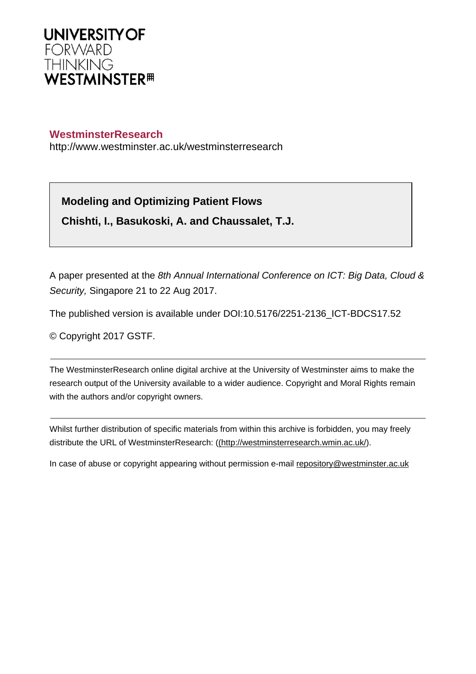

# **WestminsterResearch**

http://www.westminster.ac.uk/westminsterresearch

**Modeling and Optimizing Patient Flows**

**Chishti, I., Basukoski, A. and Chaussalet, T.J.**

A paper presented at the 8th Annual International Conference on ICT: Big Data, Cloud & Security, Singapore 21 to 22 Aug 2017.

The published version is available under DOI:10.5176/2251-2136\_ICT-BDCS17.52

© Copyright 2017 GSTF.

The WestminsterResearch online digital archive at the University of Westminster aims to make the research output of the University available to a wider audience. Copyright and Moral Rights remain with the authors and/or copyright owners.

Whilst further distribution of specific materials from within this archive is forbidden, you may freely distribute the URL of WestminsterResearch: [\(\(http://westminsterresearch.wmin.ac.uk/](http://westminsterresearch.wmin.ac.uk/)).

In case of abuse or copyright appearing without permission e-mail <repository@westminster.ac.uk>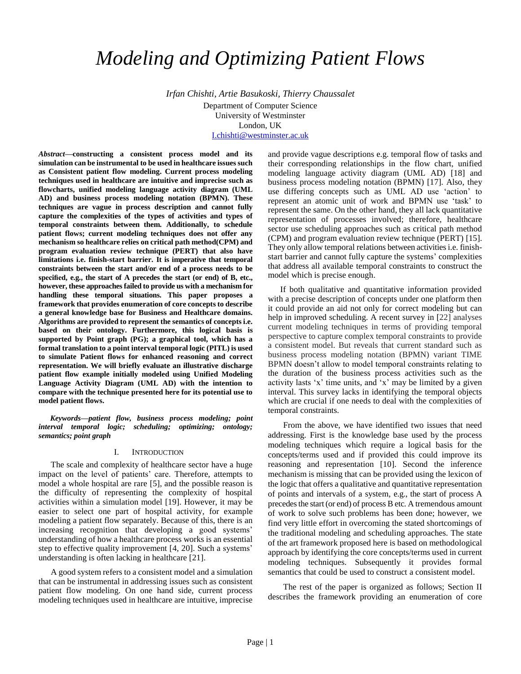# *Modeling and Optimizing Patient Flows*

*Irfan Chishti, Artie Basukoski, Thierry Chaussalet* Department of Computer Science University of Westminster London, UK [I.chishti@westminster.ac.uk](mailto:I.chishti@westminster.ac.uk)

*Abstract***—constructing a consistent process model and its simulation can be instrumental to be used in healthcare issues such as Consistent patient flow modeling. Current process modeling techniques used in healthcare are intuitive and imprecise such as flowcharts, unified modeling language activity diagram (UML AD) and business process modeling notation (BPMN). These techniques are vague in process description and cannot fully capture the complexities of the types of activities and types of temporal constraints between them. Additionally, to schedule patient flows; current modeling techniques does not offer any mechanism so healthcare relies on critical path method(CPM) and program evaluation review technique (PERT) that also have limitations i.e. finish-start barrier. It is imperative that temporal constraints between the start and/or end of a process needs to be specified, e.g., the start of A precedes the start (or end) of B, etc., however, these approaches failed to provide us with a mechanism for handling these temporal situations. This paper proposes a framework that provides enumeration of core concepts to describe a general knowledge base for Business and Healthcare domains. Algorithms are provided to represent the semantics of concepts i.e. based on their ontology. Furthermore, this logical basis is supported by Point graph (PG); a graphical tool, which has a formal translation to a point interval temporal logic (PITL) is used to simulate Patient flows for enhanced reasoning and correct representation. We will briefly evaluate an illustrative discharge patient flow example initially modeled using Unified Modeling Language Activity Diagram (UML AD) with the intention to compare with the technique presented here for its potential use to model patient flows.**

*Keywords—patient flow, business process modeling; point interval temporal logic; scheduling; optimizing; ontology; semantics; point graph*

### I. INTRODUCTION

The scale and complexity of healthcare sector have a huge impact on the level of patients' care. Therefore, attempts to model a whole hospital are rare [5], and the possible reason is the difficulty of representing the complexity of hospital activities within a simulation model [19]. However, it may be easier to select one part of hospital activity, for example modeling a patient flow separately. Because of this, there is an increasing recognition that developing a good systems' understanding of how a healthcare process works is an essential step to effective quality improvement [4, 20]. Such a systems' understanding is often lacking in healthcare [21].

A good system refers to a consistent model and a simulation that can be instrumental in addressing issues such as consistent patient flow modeling. On one hand side, current process modeling techniques used in healthcare are intuitive, imprecise

and provide vague descriptions e.g. temporal flow of tasks and their corresponding relationships in the flow chart, unified modeling language activity diagram (UML AD) [18] and business process modeling notation (BPMN) [17]. Also, they use differing concepts such as UML AD use 'action' to represent an atomic unit of work and BPMN use 'task' to represent the same. On the other hand, they all lack quantitative representation of processes involved; therefore, healthcare sector use scheduling approaches such as critical path method (CPM) and program evaluation review technique (PERT) [15]. They only allow temporal relations between activities i.e. finishstart barrier and cannot fully capture the systems' complexities that address all available temporal constraints to construct the model which is precise enough.

If both qualitative and quantitative information provided with a precise description of concepts under one platform then it could provide an aid not only for correct modeling but can help in improved scheduling. A recent survey in [22] analyses current modeling techniques in terms of providing temporal perspective to capture complex temporal constraints to provide a consistent model. But reveals that current standard such as business process modeling notation (BPMN) variant TIME BPMN doesn't allow to model temporal constraints relating to the duration of the business process activities such as the activity lasts 'x' time units, and 'x' may be limited by a given interval. This survey lacks in identifying the temporal objects which are crucial if one needs to deal with the complexities of temporal constraints.

From the above, we have identified two issues that need addressing. First is the knowledge base used by the process modeling techniques which require a logical basis for the concepts/terms used and if provided this could improve its reasoning and representation [10]. Second the inference mechanism is missing that can be provided using the lexicon of the logic that offers a qualitative and quantitative representation of points and intervals of a system, e.g., the start of process A precedes the start (or end) of process B etc. A tremendous amount of work to solve such problems has been done; however, we find very little effort in overcoming the stated shortcomings of the traditional modeling and scheduling approaches. The state of the art framework proposed here is based on methodological approach by identifying the core concepts/terms used in current modeling techniques. Subsequently it provides formal semantics that could be used to construct a consistent model.

The rest of the paper is organized as follows; Section II describes the framework providing an enumeration of core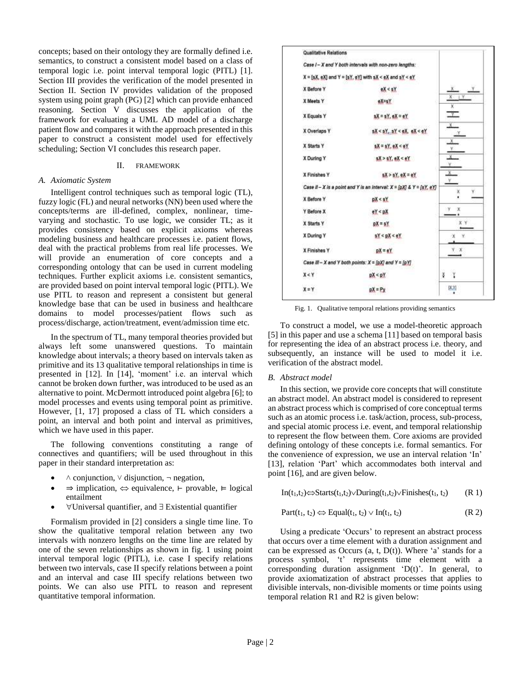concepts; based on their ontology they are formally defined i.e. semantics, to construct a consistent model based on a class of temporal logic i.e. point interval temporal logic (PITL) [1]. Section III provides the verification of the model presented in Section II. Section IV provides validation of the proposed system using point graph (PG) [2] which can provide enhanced reasoning. Section V discusses the application of the framework for evaluating a UML AD model of a discharge patient flow and compares it with the approach presented in this paper to construct a consistent model used for effectively scheduling; Section VI concludes this research paper.

## II. FRAMEWORK

# *A. Axiomatic System*

Intelligent control techniques such as temporal logic (TL), fuzzy logic (FL) and neural networks (NN) been used where the concepts/terms are ill-defined, complex, nonlinear, timevarying and stochastic. To use logic, we consider TL; as it provides consistency based on explicit axioms whereas modeling business and healthcare processes i.e. patient flows, deal with the practical problems from real life processes. We will provide an enumeration of core concepts and a corresponding ontology that can be used in current modeling techniques. Further explicit axioms i.e. consistent semantics, are provided based on point interval temporal logic (PITL). We use PITL to reason and represent a consistent but general knowledge base that can be used in business and healthcare domains to model processes/patient flows such as process/discharge, action/treatment, event/admission time etc.

In the spectrum of TL, many temporal theories provided but always left some unanswered questions. To maintain knowledge about intervals; a theory based on intervals taken as primitive and its 13 qualitative temporal relationships in time is presented in [12]. In [14], 'moment' i.e. an interval which cannot be broken down further, was introduced to be used as an alternative to point. McDermott introduced point algebra [6]; to model processes and events using temporal point as primitive. However, [1, 17] proposed a class of TL which considers a point, an interval and both point and interval as primitives, which we have used in this paper.

The following conventions constituting a range of connectives and quantifiers; will be used throughout in this paper in their standard interpretation as:

- $\land$  conjunction,  $\lor$  disjunction,  $\neg$  negation,
- $\Rightarrow$  implication,  $\Leftrightarrow$  equivalence, ⊢ provable, ⊨ logical entailment
- $\forall$  Universal quantifier, and  $\exists$  Existential quantifier

Formalism provided in [2] considers a single time line. To show the qualitative temporal relation between any two intervals with nonzero lengths on the time line are related by one of the seven relationships as shown in fig. 1 using point interval temporal logic (PITL), i.e. case I specify relations between two intervals, case II specify relations between a point and an interval and case III specify relations between two points. We can also use PITL to reason and represent quantitative temporal information.



Fig. 1. Qualitative temporal relations providing semantics

To construct a model, we use a model-theoretic approach [5] in this paper and use a schema [11] based on temporal basis for representing the idea of an abstract process i.e. theory, and subsequently, an instance will be used to model it i.e. verification of the abstract model.

# *B. Abstract model*

In this section, we provide core concepts that will constitute an abstract model. An abstract model is considered to represent an abstract process which is comprised of core conceptual terms such as an atomic process i.e. task/action, process, sub-process, and special atomic process i.e. event, and temporal relationship to represent the flow between them. Core axioms are provided defining ontology of these concepts i.e. formal semantics. For the convenience of expression, we use an interval relation 'In' [13], relation 'Part' which accommodates both interval and point [16], and are given below.

$$
In(t1,t2) \Leftrightarrow Starts(t1,t2) \lor During(t1,t2) \lor Finishes(t1, t2)
$$
 (R 1)

$$
Part(t_1, t_2) \Leftrightarrow Equal(t_1, t_2) \vee In(t_1, t_2)
$$
 (R 2)

Using a predicate 'Occurs' to represent an abstract process that occurs over a time element with a duration assignment and can be expressed as Occurs  $(a, t, D(t))$ . Where 'a' stands for a process symbol, 't' represents time element with a corresponding duration assignment 'D(t)'. In general, to provide axiomatization of abstract processes that applies to divisible intervals, non-divisible moments or time points using temporal relation R1 and R2 is given below: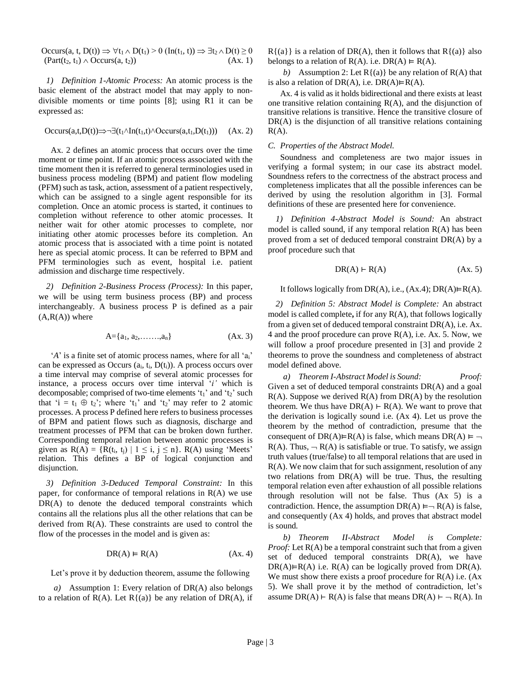Occurs(a, t, D(t))  $\Rightarrow \forall t_1 \wedge D(t_1) > 0$  (In(t<sub>1</sub>, t))  $\Rightarrow \exists t_2 \wedge D(t) \ge 0$  $(Part(t_2, t_1) \wedge Occurs(a, t_2))$  (Ax. 1)

*1) Definition 1-Atomic Process:* An atomic process is the basic element of the abstract model that may apply to nondivisible moments or time points [8]; using R1 it can be expressed as:

$$
Occurs(a,t,D(t))\nRightarrow \neg \exists (t_1 \land In(t_1,t) \land Occurs(a,t_1,D(t_1))) \quad (Ax. 2)
$$

Ax. 2 defines an atomic process that occurs over the time moment or time point. If an atomic process associated with the time moment then it is referred to general terminologies used in business process modeling (BPM) and patient flow modeling (PFM) such as task, action, assessment of a patient respectively, which can be assigned to a single agent responsible for its completion. Once an atomic process is started, it continues to completion without reference to other atomic processes. It neither wait for other atomic processes to complete, nor initiating other atomic processes before its completion. An atomic process that is associated with a time point is notated here as special atomic process. It can be referred to BPM and PFM terminologies such as event, hospital i.e. patient admission and discharge time respectively.

*2) Definition 2-Business Process (Process):* In this paper, we will be using term business process (BP) and process interchangeably. A business process P is defined as a pair  $(A, R(A))$  where

$$
A = \{a_1, a_2, \dots, a_n\} \tag{Ax. 3}
$$

'*A*' is a finite set of atomic process names, where for all 'a<sub>i</sub>' can be expressed as Occurs (ai, ti, D(ti)). A process occurs over a time interval may comprise of several atomic processes for instance, a process occurs over time interval '*i'* which is decomposable; comprised of two-time elements ' $t_1$ ' and ' $t_2$ ' such that 'i =  $t_1 \oplus t_2$ '; where ' $t_1$ ' and ' $t_2$ ' may refer to 2 atomic processes. A process P defined here refers to business processes of BPM and patient flows such as diagnosis, discharge and treatment processes of PFM that can be broken down further. Corresponding temporal relation between atomic processes is given as  $R(A) = \{ \overline{R}(t_i, t_j) \mid 1 \le i, j \le n \}$ .  $R(A)$  using 'Meets' relation. This defines a BP of logical conjunction and disjunction.

*3) Definition 3-Deduced Temporal Constraint:* In this paper, for conformance of temporal relations in  $R(A)$  we use DR(A) to denote the deduced temporal constraints which contains all the relations plus all the other relations that can be derived from R(A). These constraints are used to control the flow of the processes in the model and is given as:

$$
DR(A) \vDash R(A) \tag{Ax. 4}
$$

Let's prove it by deduction theorem, assume the following

*a)* Assumption 1: Every relation of DR(A) also belongs to a relation of  $R(A)$ . Let  $R\{(a)\}\$  be any relation of  $DR(A)$ , if  $R\{(a)\}\$ is a relation of DR(A), then it follows that  $R\{(a)\}\$ also belongs to a relation of  $R(A)$ . i.e.  $DR(A) \models R(A)$ .

*b*) Assumption 2: Let  $R\{(a)\}\$  be any relation of  $R(A)$  that is also a relation of  $DR(A)$ , i.e.  $DR(A) \models R(A)$ .

Ax. 4 is valid as it holds bidirectional and there exists at least one transitive relation containing  $R(A)$ , and the disjunction of transitive relations is transitive. Hence the transitive closure of DR(A) is the disjunction of all transitive relations containing  $R(A)$ .

## *C. Properties of the Abstract Model.*

Soundness and completeness are two major issues in verifying a formal system; in our case its abstract model. Soundness refers to the correctness of the abstract process and completeness implicates that all the possible inferences can be derived by using the resolution algorithm in [3]. Formal definitions of these are presented here for convenience.

*1) Definition 4-Abstract Model is Sound:* An abstract model is called sound, if any temporal relation R(A) has been proved from a set of deduced temporal constraint DR(A) by a proof procedure such that

$$
DR(A) \vdash R(A) \tag{Ax. 5}
$$

It follows logically from  $DR(A)$ , i.e.,  $(Ax.4)$ ;  $DR(A) \models R(A)$ .

*2) Definition 5: Abstract Model is Complete:* An abstract model is called complete**,** if for any R(A), that follows logically from a given set of deduced temporal constraint DR(A), i.e. Ax. 4 and the proof procedure can prove R(A), i.e. Ax. 5. Now, we will follow a proof procedure presented in [3] and provide 2 theorems to prove the soundness and completeness of abstract model defined above.

*a) Theorem I-Abstract Model is Sound: Proof:*  Given a set of deduced temporal constraints DR(A) and a goal  $R(A)$ . Suppose we derived  $R(A)$  from  $DR(A)$  by the resolution theorem. We thus have  $DR(A) \vdash R(A)$ . We want to prove that the derivation is logically sound i.e. (Ax 4). Let us prove the theorem by the method of contradiction, presume that the consequent of DR(A) $\vDash$ R(A) is false, which means DR(A)  $\vDash \neg$  $R(A)$ . Thus,  $\neg R(A)$  is satisfiable or true. To satisfy, we assign truth values (true/false) to all temporal relations that are used in R(A). We now claim that for such assignment, resolution of any two relations from DR(A) will be true. Thus, the resulting temporal relation even after exhaustion of all possible relations through resolution will not be false. Thus (Ax 5) is a contradiction. Hence, the assumption  $DR(A) \models \neg R(A)$  is false, and consequently (Ax 4) holds, and proves that abstract model is sound*.*

*b) Theorem II-Abstract Model is Complete: Proof:* Let R(A) be a temporal constraint such that from a given set of deduced temporal constraints DR(A), we have  $DR(A) \models R(A)$  i.e.  $R(A)$  can be logically proved from  $DR(A)$ . We must show there exists a proof procedure for  $R(A)$  i.e.  $(Ax)$ 5). We shall prove it by the method of contradiction, let's assume DR(A) ⊢ R(A) is false that means DR(A) ⊢  $\neg$  R(A). In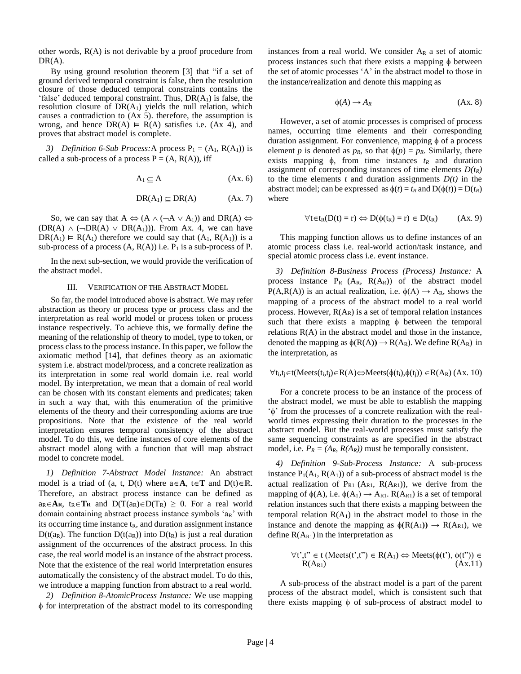other words,  $R(A)$  is not derivable by a proof procedure from  $DR(A)$ .

By using ground resolution theorem [3] that "if a set of ground derived temporal constraint is false, then the resolution closure of those deduced temporal constraints contains the 'false' deduced temporal constraint. Thus,  $DR(A_1)$  is false, the resolution closure of  $DR(A_1)$  yields the null relation, which causes a contradiction to (Ax 5). therefore, the assumption is wrong, and hence  $DR(A) \vDash R(A)$  satisfies i.e. (Ax 4), and proves that abstract model is complete.

*3) Definition 6-Sub Process:A* process  $P_1 = (A_1, R(A_1))$  is called a sub-process of a process  $P = (A, R(A))$ , iff

$$
A_1 \subseteq A \tag{Ax. 6}
$$

$$
DR(A_1) \subseteq DR(A) \qquad (Ax. 7)
$$

So, we can say that  $A \Leftrightarrow (A \land (\neg A \lor A_1))$  and  $DR(A) \Leftrightarrow$  $(DR(A) \wedge (\neg DR(A) \vee DR(A_1)))$ . From Ax. 4, we can have  $DR(A_1) \vDash R(A_1)$  therefore we could say that  $(A_1, R(A_1))$  is a sub-process of a process  $(A, R(A))$  i.e.  $P_1$  is a sub-process of P.

In the next sub-section, we would provide the verification of the abstract model.

#### III. VERIFICATION OF THE ABSTRACT MODEL

So far, the model introduced above is abstract. We may refer abstraction as theory or process type or process class and the interpretation as real world model or process token or process instance respectively. To achieve this, we formally define the meaning of the relationship of theory to model, type to token, or process class to the process instance. In this paper, we follow the axiomatic method [14], that defines theory as an axiomatic system i.e. abstract model/process, and a concrete realization as its interpretation in some real world domain i.e. real world model. By interpretation, we mean that a domain of real world can be chosen with its constant elements and predicates; taken in such a way that, with this enumeration of the primitive elements of the theory and their corresponding axioms are true propositions. Note that the existence of the real world interpretation ensures temporal consistency of the abstract model. To do this, we define instances of core elements of the abstract model along with a function that will map abstract model to concrete model.

*1) Definition 7-Abstract Model Instance:* An abstract model is a triad of (a, t, D(t) where  $a \in A$ ,  $t \in T$  and  $D(t) \in \mathbb{R}$ . Therefore, an abstract process instance can be defined as  $a_R \in \mathbf{A}_R$ ,  $t_R \in \mathbf{T}_R$  and  $D(T(a_R) \in D(T_R) \geq 0$ . For a real world domain containing abstract process instance symbols 'aR' with its occurring time instance  $t<sub>R</sub>$ , and duration assignment instance  $D(t(a_R)$ . The function  $D(t(a_R))$  into  $D(t_R)$  is just a real duration assignment of the occurrences of the abstract process. In this case, the real world model is an instance of the abstract process. Note that the existence of the real world interpretation ensures automatically the consistency of the abstract model. To do this, we introduce a mapping function from abstract to a real world.

*2) Definition 8-AtomicProcess Instance:* We use mapping  $\phi$  for interpretation of the abstract model to its corresponding instances from a real world. We consider  $A_R$  a set of atomic process instances such that there exists a mapping  $\phi$  between the set of atomic processes 'A' in the abstract model to those in the instance/realization and denote this mapping as

$$
\phi(A) \to A_R \tag{Ax. 8}
$$

However, a set of atomic processes is comprised of process names, occurring time elements and their corresponding duration assignment. For convenience, mapping  $\phi$  of a process element *p* is denoted as  $p_R$ , so that  $\phi(p) = p_R$ . Similarly, there exists mapping  $\phi$ , from time instances  $t_R$  and duration assignment of corresponding instances of time elements  $D(t_R)$ to the time elements  $t$  and duration assignments  $D(t)$  in the abstract model; can be expressed as  $\phi(t) = t_R$  and  $D(\phi(t)) = D(t_R)$ where

$$
\forall t \in t_R(D(t) = r) \Leftrightarrow D(\phi(t_R) = r) \in D(t_R) \qquad (Ax. 9)
$$

This mapping function allows us to define instances of an atomic process class i.e. real-world action/task instance, and special atomic process class i.e. event instance.

*3) Definition 8-Business Process (Process) Instance:* A process instance  $P_R$  (A<sub>R</sub>,  $R(A_R)$ ) of the abstract model  $P(A, R(A))$  is an actual realization, i.e.  $\phi(A) \rightarrow A_R$ , shows the mapping of a process of the abstract model to a real world process. However,  $R(A_R)$  is a set of temporal relation instances such that there exists a mapping  $\phi$  between the temporal relations  $R(A)$  in the abstract model and those in the instance, denoted the mapping as  $\phi(R(A)) \rightarrow R(A_R)$ . We define  $R(A_R)$  in the interpretation, as

$$
\forall t_i, t_j \in t (Meets(t_i, t_j) \in R(A) \Leftrightarrow Meets(\phi(t_i), \phi(t_j)) \in R(A_R) \ (Ax. \ 10)
$$

For a concrete process to be an instance of the process of the abstract model, we must be able to establish the mapping  $\phi$  from the processes of a concrete realization with the realworld times expressing their duration to the processes in the abstract model. But the real-world processes must satisfy the same sequencing constraints as are specified in the abstract model, i.e.  $P_R = (A_R, R(A_R))$  must be temporally consistent.

*4) Definition 9-Sub-Process Instance:* A sub-process instance  $P_1(A_1, R(A_1))$  of a sub-process of abstract model is the actual realization of  $P_{R1}$  (A<sub>R1</sub>, R(A<sub>R1</sub>)), we derive from the mapping of  $\phi(A)$ , i.e.  $\phi(A_1) \rightarrow A_{R1}$ .  $R(A_{R1})$  is a set of temporal relation instances such that there exists a mapping between the temporal relation  $R(A_1)$  in the abstract model to those in the instance and denote the mapping as  $\phi(R(A_1)) \rightarrow R(A_{R1})$ , we define  $R(A_{R1})$  in the interpretation as

$$
\forall t^{\prime}, t^{\prime\prime} \in t \ (Meets(t^{\prime}, t^{\prime\prime}) \in R(A_1) \Leftrightarrow Meets(\phi(t^{\prime}), \phi(t^{\prime\prime})) \in R(A_{R1}) \tag{Ax.11}
$$

A sub-process of the abstract model is a part of the parent process of the abstract model, which is consistent such that there exists mapping  $\phi$  of sub-process of abstract model to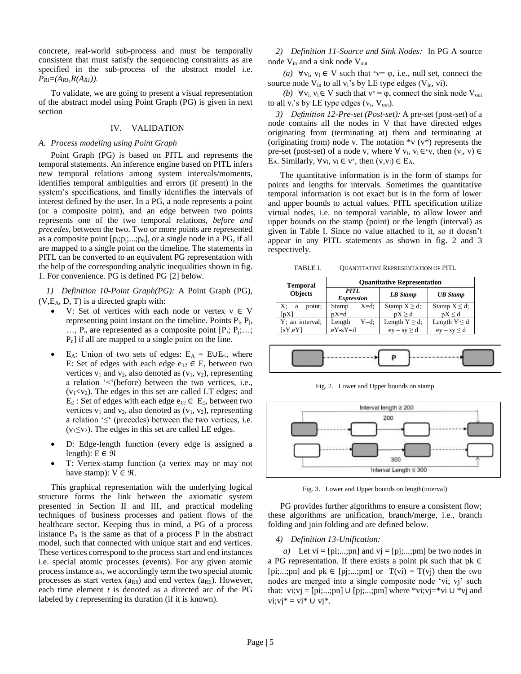concrete, real-world sub-process and must be temporally consistent that must satisfy the sequencing constraints as are specified in the sub-process of the abstract model i.e.  $P_{RI} = (A_{RI}, R(A_{RI}))$ .

To validate, we are going to present a visual representation of the abstract model using Point Graph (PG) is given in next section

# IV. VALIDATION

# *A. Process modeling using Point Graph*

Point Graph (PG) is based on PITL and represents the temporal statements. An inference engine based on PITL infers new temporal relations among system intervals/moments, identifies temporal ambiguities and errors (if present) in the system's specifications, and finally identifies the intervals of interest defined by the user. In a PG, a node represents a point (or a composite point), and an edge between two points represents one of the two temporal relations, *before and precedes*, between the two. Two or more points are represented as a composite point  $[p_i; p_j; \ldots; p_n]$ , or a single node in a PG, if all are mapped to a single point on the timeline. The statements in PITL can be converted to an equivalent PG representation with the help of the corresponding analytic inequalities shown in fig. 1. For convenience. PG is defined PG [2] below.

*1) Definition 10-Point Graph(PG):* A Point Graph (PG),  $(V,E_A, D, T)$  is a directed graph with:

- V: Set of vertices with each node or vertex  $v \in V$ representing point instant on the timeline. Points  $P_i$ ,  $P_j$ ,  $..., P_n$  are represented as a composite point  $[P_i; P_j; ...; P_n]$ Pn] if all are mapped to a single point on the line.
- E<sub>A</sub>: Union of two sets of edges:  $E_A = EUE_{\leq}$ , where E: Set of edges with each edge  $e_{12} \in E$ , between two vertices  $v_1$  and  $v_2$ , also denoted as  $(v_1, v_2)$ , representing a relation '<'(before) between the two vertices, i.e.,  $(v_1 \lt v_2)$ . The edges in this set are called LT edges; and E≤ : Set of edges with each edge e<sub>12</sub> ∈ E≤, between two vertices  $v_1$  and  $v_2$ , also denoted as  $(v_1, v_2)$ , representing a relation  $\leq$  (precedes) between the two vertices, i.e.  $(v_1 \le v_2)$ . The edges in this set are called LE edges.
- D: Edge-length function (every edge is assigned a length):  $E \in \mathcal{R}$
- T: Vertex-stamp function (a vertex may or may not have stamp):  $V \in \mathcal{R}$ .

This graphical representation with the underlying logical structure forms the link between the axiomatic system presented in Section II and III, and practical modeling techniques of business processes and patient flows of the healthcare sector. Keeping thus in mind, a PG of a process instance  $P_R$  is the same as that of a process P in the abstract model, such that connected with unique start and end vertices. These vertices correspond to the process start and end instances i.e. special atomic processes (events). For any given atomic process instance  $a_R$ , we accordingly term the two special atomic processes as start vertex  $(a_{RS})$  and end vertex  $(a_{RE})$ . However, each time element *t* is denoted as a directed arc of the PG labeled by *t* representing its duration (if it is known).

*2) Definition 11-Source and Sink Nodes:* In PG A source node Vin and a sink node Vout

*(a)*  $\forall v_i, v_i \in V$  such that \*v=  $\varphi$ , i.e., null set, connect the source node  $V_{in}$  to all  $v_i$ 's by LE type edges ( $V_{in}$ , vi).

*(b)*  $\forall v_i, v_i \in V$  such that  $v^* = \varphi$ , connect the sink node  $V_{out}$ to all  $v_i$ 's by LE type edges  $(v_i, V_{out})$ .

*3) Definition 12-Pre-set (Post-set):* A pre-set (post-set) of a node contains all the nodes in V that have directed edges originating from (terminating at) them and terminating at (originating from) node v. The notation  $*v(v*)$  represents the pre-set (post-set) of a node v, where  $\forall$  v<sub>i</sub>, v<sub>i</sub> ∈<sup>\*</sup>v, then (v<sub>i</sub>, v) ∈ E<sub>A</sub>. Similarly,  $\forall v_i, v_i \in v^*$ , then  $(v, v_i) \in E_A$ .

The quantitative information is in the form of stamps for points and lengths for intervals. Sometimes the quantitative temporal information is not exact but is in the form of lower and upper bounds to actual values. PITL specification utilize virtual nodes, i.e. no temporal variable, to allow lower and upper bounds on the stamp (point) or the length (interval) as given in Table I. Since no value attached to it, so it doesn't appear in any PITL statements as shown in fig. 2 and 3 respectively.

TABLE I. QUANTITATIVE REPRESENTATION OF PITL

| <b>Temporal</b>   | <b>Quantitative Representation</b> |                    |                   |  |  |
|-------------------|------------------------------------|--------------------|-------------------|--|--|
| <b>Objects</b>    | PITL<br><b>Expression</b>          | LB Stamp           | <b>UB</b> Stamp   |  |  |
| X;<br>point;<br>a | $X = d$ :<br>Stamp                 | Stamp $X \ge d$ ;  | Stamp $X \le d$ ; |  |  |
| [pX]              | $pX = d$                           | pX > d             | $pX \le d$        |  |  |
| Y; an interval;   | $Y = d$ :<br>Length                | Length $Y \ge d$ ; | Length $Y \le d$  |  |  |
| [sY,eY]           | $eY-sY=d$                          | $ey - sy \geq d$   | $ev - sv \le d$   |  |  |



Fig. 2. Lower and Upper bounds on stamp



Fig. 3. Lower and Upper bounds on length(interval)

PG provides further algorithms to ensure a consistent flow; these algorithms are unification, branch/merge, i.e., branch folding and join folding and are defined below.

# *4) Definition 13-Unification:*

*a*) Let vi = [pi;...;pn] and vj = [pj;...;pm] be two nodes in a PG representation. If there exists a point pk such that  $pk \in$ [pi;...;pn] and pk  $\in$  [pj;...;pm] or  $T(vi) = T(vj)$  then the two nodes are merged into a single composite node 'vi; vj' such that: vi;vj = [pi;...;pn] ∪ [pj;...;pm] where \*vi;vj=\*vi ∪ \*vj and  $vi; vi^* = vi^* \cup vj^*.$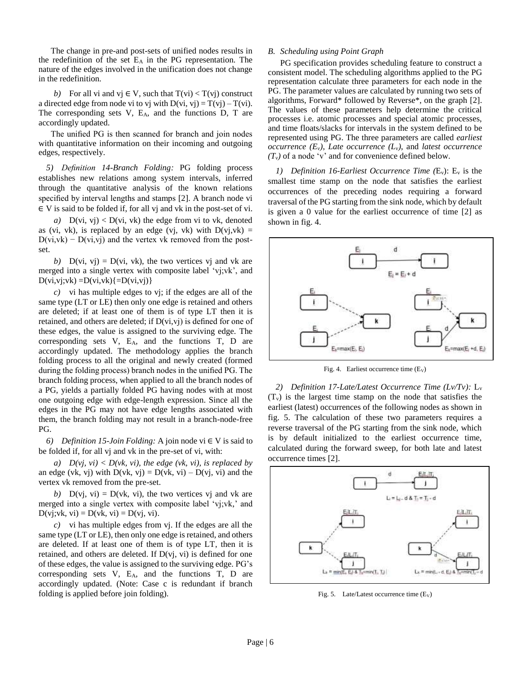The change in pre-and post-sets of unified nodes results in the redefinition of the set  $E_A$  in the PG representation. The nature of the edges involved in the unification does not change in the redefinition.

*b*) For all vi and vj  $\in V$ , such that  $T(vi) < T(vj)$  construct a directed edge from node vi to vj with  $D(vi, vj) = T(vj) - T(vi)$ . The corresponding sets  $V$ ,  $E_A$ , and the functions  $D$ ,  $T$  are accordingly updated.

The unified PG is then scanned for branch and join nodes with quantitative information on their incoming and outgoing edges, respectively.

*5) Definition 14-Branch Folding:* PG folding process establishes new relations among system intervals, inferred through the quantitative analysis of the known relations specified by interval lengths and stamps [2]. A branch node vi ∈ V is said to be folded if, for all vj and vk in the post-set of vi.

*a*)  $D(vi, vj) < D(vi, vk)$  the edge from vi to vk, denoted as (vi, vk), is replaced by an edge (vj, vk) with  $D(vj,vk) =$  $D(v_i, v_k) - D(v_i, v_i)$  and the vertex vk removed from the postset.

*b*)  $D(vi, vj) = D(vi, vk)$ , the two vertices vj and vk are merged into a single vertex with composite label 'vj;vk', and  $D(vi,vj;vk) = D(vi,vk) \{ =D(vi,vj) \}$ 

*c)* vi has multiple edges to vj; if the edges are all of the same type (LT or LE) then only one edge is retained and others are deleted; if at least one of them is of type LT then it is retained, and others are deleted; if  $D(v_i,v_j)$  is defined for one of these edges, the value is assigned to the surviving edge. The corresponding sets V, EA, and the functions T, D are accordingly updated. The methodology applies the branch folding process to all the original and newly created (formed during the folding process) branch nodes in the unified PG. The branch folding process, when applied to all the branch nodes of a PG, yields a partially folded PG having nodes with at most one outgoing edge with edge-length expression. Since all the edges in the PG may not have edge lengths associated with them, the branch folding may not result in a branch-node-free PG.

*6) Definition 15-Join Folding:* A join node vi ∈ V is said to be folded if, for all vj and vk in the pre-set of vi, with:

*a)*  $D(vj, vi) < D(vk, vi)$ , the edge (vk, vi), is replaced by an edge (vk, vj) with  $D(vk, vj) = D(vk, vi) - D(vj, vi)$  and the vertex vk removed from the pre-set.

*b*)  $D(v_i, vi) = D(vk, vi)$ , the two vertices vj and vk are merged into a single vertex with composite label 'vj;vk,' and  $D(vj;vk, vi) = D(vk, vi) = D(vj, vi).$ 

*c)* vi has multiple edges from vj. If the edges are all the same type (LT or LE), then only one edge is retained, and others are deleted. If at least one of them is of type LT, then it is retained, and others are deleted. If D(vj, vi) is defined for one of these edges, the value is assigned to the surviving edge. PG's corresponding sets V, EA, and the functions T, D are accordingly updated. (Note: Case c is redundant if branch folding is applied before join folding).

### *B. Scheduling using Point Graph*

PG specification provides scheduling feature to construct a consistent model. The scheduling algorithms applied to the PG representation calculate three parameters for each node in the PG. The parameter values are calculated by running two sets of algorithms, Forward\* followed by Reverse\*, on the graph [2]. The values of these parameters help determine the critical processes i.e. atomic processes and special atomic processes, and time floats/slacks for intervals in the system defined to be represented using PG. The three parameters are called *earliest occurrence*  $(E_v)$ , Late *occurrence*  $(L_v)$ , and *latest occurrence*  $(T_v)$  of a node 'v' and for convenience defined below.

*1) Definition 16-Earliest Occurrence Time (E<sub>v</sub>)*: E<sub>v</sub> is the smallest time stamp on the node that satisfies the earliest occurrences of the preceding nodes requiring a forward traversal of the PG starting from the sink node, which by default is given a 0 value for the earliest occurrence of time [2] as shown in fig. 4.



Fig. 4. Earliest occurrence time  $(E_V)$ 

*2) Definition 17-Late/Latest Occurrence Time (Lv/Tv):* L<sup>v</sup>  $(T_v)$  is the largest time stamp on the node that satisfies the earliest (latest) occurrences of the following nodes as shown in fig. 5. The calculation of these two parameters requires a reverse traversal of the PG starting from the sink node, which is by default initialized to the earliest occurrence time, calculated during the forward sweep, for both late and latest occurrence times [2].



Fig. 5. Late/Latest occurrence time  $(E_V)$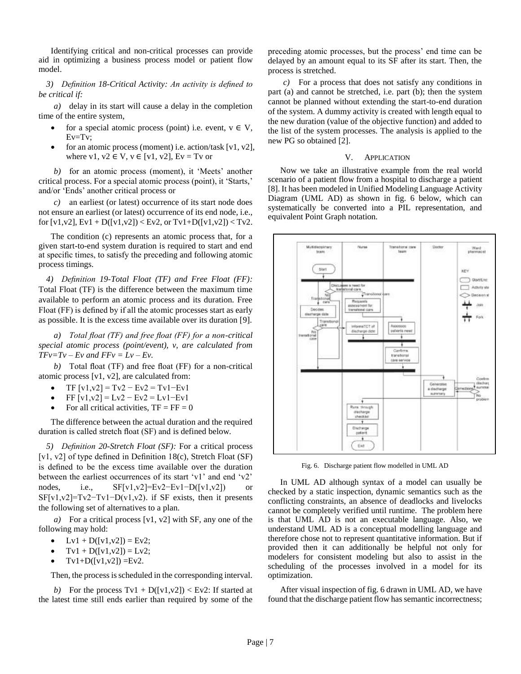Identifying critical and non-critical processes can provide aid in optimizing a business process model or patient flow model.

*3) Definition 18-Critical Activity: An activity is defined to be critical if:* 

*a)* delay in its start will cause a delay in the completion time of the entire system,

- for a special atomic process (point) i.e. event,  $v \in V$ ,  $Ev = Tv;$
- for an atomic process (moment) i.e. action/task  $[v1, v2]$ , where v1,  $v2 \in V$ ,  $v \in [v1, v2]$ ,  $Ev = Tv$  or

*b)* for an atomic process (moment), it 'Meets' another critical process. For a special atomic process (point), it 'Starts,' and/or 'Ends' another critical process or

*c)* an earliest (or latest) occurrence of its start node does not ensure an earliest (or latest) occurrence of its end node, i.e., for  $[v1,v2]$ ,  $Ev1 + D([v1,v2]) < Ev2$ , or  $Tv1+D([v1,v2]) < Tv2$ .

The condition (c) represents an atomic process that, for a given start-to-end system duration is required to start and end at specific times, to satisfy the preceding and following atomic process timings.

*4) Definition 19-Total Float (TF) and Free Float (FF):*  Total Float (TF) is the difference between the maximum time available to perform an atomic process and its duration. Free Float (FF) is defined by if all the atomic processes start as early as possible. It is the excess time available over its duration [9].

*a) Total float (TF) and free float (FF) for a non-critical special atomic process (point/event), v, are calculated from*  $TFv=Tv-Ev$  *and*  $FFv=Lv-Ev$ .

*b)* Total float (TF) and free float (FF) for a non-critical atomic process [v1, v2], are calculated from:

- TF  $[v1,v2] = Tv2 Ev2 = Tv1 Ev1$
- $FF[v1,v2] = Lv2 Ev2 = Lv1 Ev1$
- For all critical activities,  $TF = FF = 0$

The difference between the actual duration and the required duration is called stretch float (SF) and is defined below.

*5) Definition 20-Stretch Float (SF):* For a critical process [v1, v2] of type defined in Definition 18(c), Stretch Float (SF) is defined to be the excess time available over the duration between the earliest occurrences of its start 'v1' and end 'v2' nodes, i.e., SF[v1,v2]=Ev2−Ev1−D([v1,v2]) or  $SF[v1,v2]=Tv2-Tv1-D(v1,v2)$ . if SF exists, then it presents the following set of alternatives to a plan.

*a)* For a critical process [v1, v2] with SF, any one of the following may hold:

- Lv1 + D([v1,v2]) = Ev2;
- $Tv1 + D([v1,v2]) = Lv2;$
- $Tv1+D([v1,v2]) = Ev2.$

Then, the process is scheduled in the corresponding interval.

*b*) For the process Tv1 + D([v1,v2]) < Ev2: If started at the latest time still ends earlier than required by some of the preceding atomic processes, but the process' end time can be delayed by an amount equal to its SF after its start. Then, the process is stretched.

*c)* For a process that does not satisfy any conditions in part (a) and cannot be stretched, i.e. part (b); then the system cannot be planned without extending the start-to-end duration of the system. A dummy activity is created with length equal to the new duration (value of the objective function) and added to the list of the system processes. The analysis is applied to the new PG so obtained [2].

# V. APPLICATION

Now we take an illustrative example from the real world scenario of a patient flow from a hospital to discharge a patient [8]. It has been modeled in Unified Modeling Language Activity Diagram (UML AD) as shown in fig. 6 below, which can systematically be converted into a PIL representation, and equivalent Point Graph notation.



Fig. 6. Discharge patient flow modelled in UML AD

In UML AD although syntax of a model can usually be checked by a static inspection, dynamic semantics such as the conflicting constraints, an absence of deadlocks and livelocks cannot be completely verified until runtime. The problem here is that UML AD is not an executable language. Also, we understand UML AD is a conceptual modelling language and therefore chose not to represent quantitative information. But if provided then it can additionally be helpful not only for modelers for consistent modeling but also to assist in the scheduling of the processes involved in a model for its optimization.

After visual inspection of fig. 6 drawn in UML AD, we have found that the discharge patient flow has semantic incorrectness;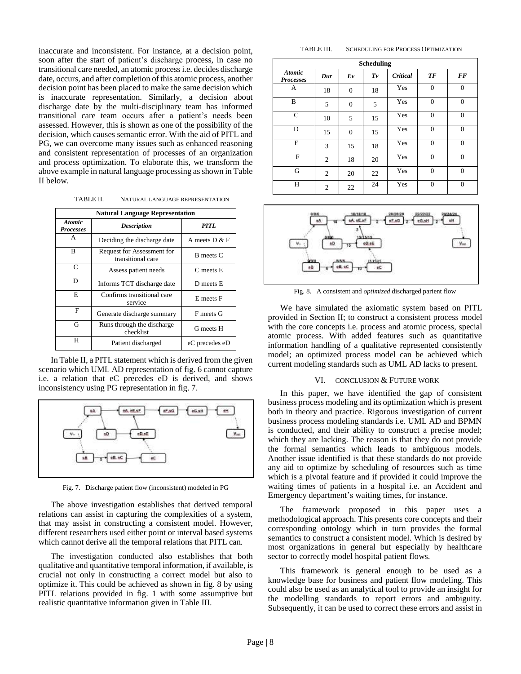inaccurate and inconsistent. For instance, at a decision point, soon after the start of patient's discharge process, in case no transitional care needed, an atomic process i.e. decides discharge date, occurs, and after completion of this atomic process, another decision point has been placed to make the same decision which is inaccurate representation. Similarly, a decision about discharge date by the multi-disciplinary team has informed transitional care team occurs after a patient's needs been assessed. However, this is shown as one of the possibility of the decision, which causes semantic error. With the aid of PITL and PG, we can overcome many issues such as enhanced reasoning and consistent representation of processes of an organization and process optimization. To elaborate this, we transform the above example in natural language processing as shown in Table II below.

TABLE II. NATURAL LANGUAGE REPRESENTATION

| <b>Natural Language Representation</b> |                                                 |                  |  |  |  |  |
|----------------------------------------|-------------------------------------------------|------------------|--|--|--|--|
| <b>Atomic</b><br><b>Processes</b>      | <b>Description</b>                              | PITL             |  |  |  |  |
| A                                      | Deciding the discharge date                     | A meets $D & F$  |  |  |  |  |
| B                                      | Request for Assessment for<br>transitional care | <b>B</b> meets C |  |  |  |  |
| C                                      | Assess patient needs                            | C meets E        |  |  |  |  |
| D                                      | Informs TCT discharge date                      | D meets E        |  |  |  |  |
| E                                      | Confirms transitional care<br>service           | E meets F        |  |  |  |  |
| F                                      | Generate discharge summary                      | F meets G        |  |  |  |  |
| G                                      | Runs through the discharge<br>checklist         | G meets H        |  |  |  |  |
| H                                      | Patient discharged                              | eC precedes eD   |  |  |  |  |

In Table II, a PITL statement which is derived from the given scenario which UML AD representation of fig. 6 cannot capture i.e. a relation that eC precedes eD is derived, and shows inconsistency using PG representation in fig. 7.



Fig. 7. Discharge patient flow (inconsistent) modeled in PG

The above investigation establishes that derived temporal relations can assist in capturing the complexities of a system, that may assist in constructing a consistent model. However, different researchers used either point or interval based systems which cannot derive all the temporal relations that PITL can.

The investigation conducted also establishes that both qualitative and quantitative temporal information, if available, is crucial not only in constructing a correct model but also to optimize it. This could be achieved as shown in fig. 8 by using PITL relations provided in fig. 1 with some assumptive but realistic quantitative information given in Table III.

#### TABLE III. SCHEDULING FOR PROCESS OPTIMIZATION

| <b>Scheduling</b>                 |                |                |         |          |                |          |  |  |
|-----------------------------------|----------------|----------------|---------|----------|----------------|----------|--|--|
| <b>Atomic</b><br><b>Processes</b> | Dur            | Ev             | $T_{V}$ | Critical | <b>TF</b>      | FF       |  |  |
| А                                 | 18             | $\overline{0}$ | 18      | Yes      | $\mathbf{0}$   | $\Omega$ |  |  |
| B                                 | 5              | $\overline{0}$ | 5       | Yes      | $\overline{0}$ | $\Omega$ |  |  |
| $\mathsf{C}$                      | 10             | 5              | 15      | Yes      | $\overline{0}$ | $\Omega$ |  |  |
| D                                 | 15             | $\mathbf{0}$   | 15      | Yes      | $\overline{0}$ | $\Omega$ |  |  |
| E                                 | 3              | 15             | 18      | Yes      | $\overline{0}$ | $\Omega$ |  |  |
| F                                 | $\overline{2}$ | 18             | 20      | Yes      | $\overline{0}$ | $\Omega$ |  |  |
| G                                 | $\overline{c}$ | 20             | 22      | Yes      | $\theta$       | $\Omega$ |  |  |
| H                                 | 2              | 22             | 24      | Yes      | $\mathbf{0}$   | $\Omega$ |  |  |



Fig. 8. A consistent and *optimized* discharged parient flow

We have simulated the axiomatic system based on PITL provided in Section II; to construct a consistent process model with the core concepts i.e. process and atomic process, special atomic process. With added features such as quantitative information handling of a qualitative represented consistently model; an optimized process model can be achieved which current modeling standards such as UML AD lacks to present.

### VI. CONCLUSION & FUTURE WORK

In this paper, we have identified the gap of consistent business process modeling and its optimization which is present both in theory and practice. Rigorous investigation of current business process modeling standards i.e. UML AD and BPMN is conducted, and their ability to construct a precise model; which they are lacking. The reason is that they do not provide the formal semantics which leads to ambiguous models. Another issue identified is that these standards do not provide any aid to optimize by scheduling of resources such as time which is a pivotal feature and if provided it could improve the waiting times of patients in a hospital i.e. an Accident and Emergency department's waiting times, for instance.

The framework proposed in this paper uses a methodological approach. This presents core concepts and their corresponding ontology which in turn provides the formal semantics to construct a consistent model. Which is desired by most organizations in general but especially by healthcare sector to correctly model hospital patient flows.

This framework is general enough to be used as a knowledge base for business and patient flow modeling. This could also be used as an analytical tool to provide an insight for the modelling standards to report errors and ambiguity. Subsequently, it can be used to correct these errors and assist in